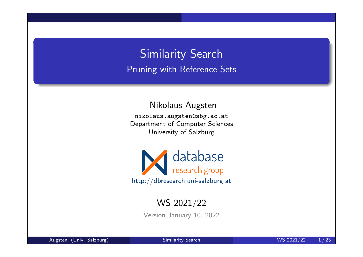# Similarity Search Pruning with Reference Sets

Nikolaus Augsten

nikolaus.augsten@sbg.ac.at Department of Computer Sciences University of Salzburg



### WS 2021/22

Version January 10, 2022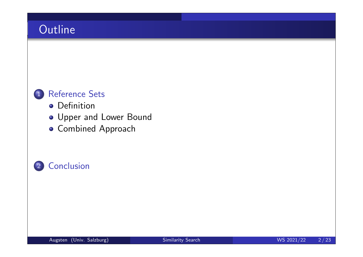

- **o** Definition
- Upper and Lower Bound
- **Combined Approach**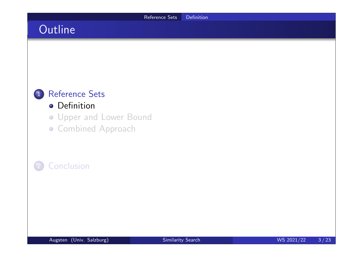

### **o** Definition

- Upper and Lower Bound
- **Combined Approach**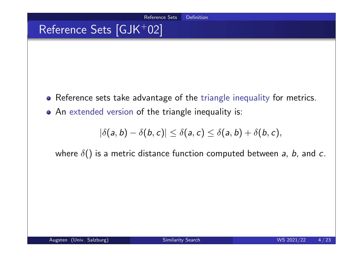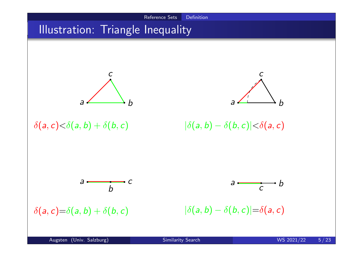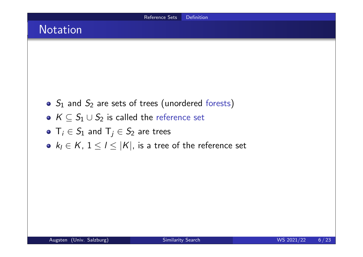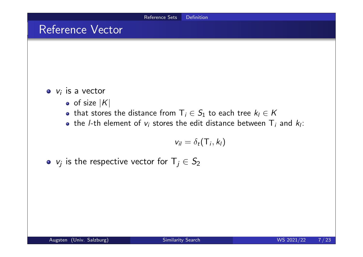### Reference Vector

 $v_i$  is a vector

- $\bullet$  of size  $|K|$
- that stores the distance from  $T_i \in S_1$  to each tree  $k_i \in K$
- the /-th element of  $v_i$  stores the edit distance between  $\mathsf{T}_i$  and  $k_l$ :

$$
v_{il}=\delta_t(\mathsf{T}_i,k_l)
$$

 $v_j$  is the respective vector for  $\mathsf{T}_j\in\mathcal{S}_2$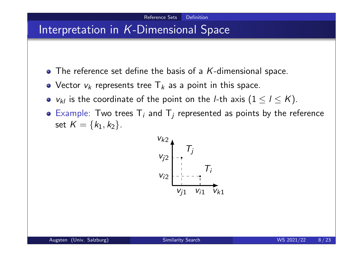## Interpretation in *K*-Dimensional Space

- $\bullet$  The reference set define the basis of a K-dimensional space.
- Vector  $v_k$  represents tree  $\mathsf{T}_k$  as a point in this space.
- $v_{kl}$  is the coordinate of the point on the *l*-th axis  $(1 \leq l \leq K)$ .
- Example: Two trees  $T_i$  and  $T_j$  represented as points by the reference set  $K = \{k_1, k_2\}.$

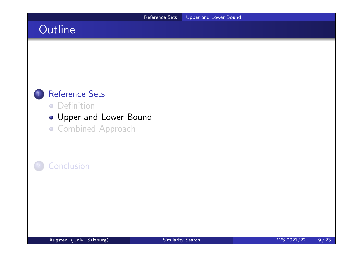

#### **•** Definition

- Upper and Lower Bound
- **Combined Approach**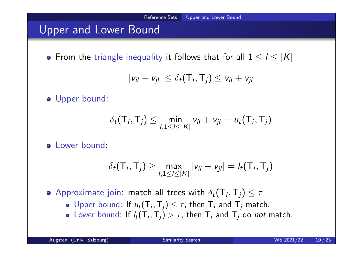## Upper and Lower Bound

• From the triangle inequality it follows that for all  $1 \leq l \leq |K|$ 

$$
|v_{il} - v_{jl}| \leq \delta_t(\mathsf{T}_i, \mathsf{T}_j) \leq v_{il} + v_{jl}
$$

o Upper bound:

$$
\delta_t(\mathsf{T}_i,\mathsf{T}_j) \leq \min_{1,1 \leq l \leq |\mathsf{K}|} v_{il} + v_{jl} = u_t(\mathsf{T}_i,\mathsf{T}_j)
$$

o Lower bound:

$$
\delta_t(\mathsf{T}_i, \mathsf{T}_j) \geq \max_{1, 1 \leq l \leq |\mathsf{K}|} |v_{il} - v_{jl}| = l_t(\mathsf{T}_i, \mathsf{T}_j)
$$

Approximate join: match all trees with  $\delta_t(\mathsf{T}_i,\mathsf{T}_j) \leq \tau$ 

- Upper bound: If  $u_t(T_i, T_j) \leq \tau$ , then  $T_i$  and  $T_j$  match.
- Lower bound: If  $l_t(T_i, T_j) > \tau$ , then  $T_i$  and  $T_j$  do *not* match.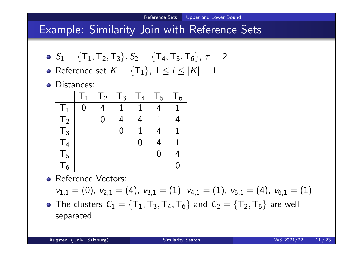## Example: Similarity Join with Reference Sets

- $S_1 = {\{\mathsf{T}_1,\mathsf{T}_2,\mathsf{T}_3\}}, S_2 = {\{\mathsf{T}_4,\mathsf{T}_5,\mathsf{T}_6\}}, \tau = 2$
- Reference set  $K = \{\mathsf{T}_1\}$ ,  $1 \leq l \leq |\mathcal{K}| = 1$
- **o** Distances:

|                      | $\mathbb{I}_1$ | $T_2$ | $T_3$        | $T_{4}$        | $T_5$ | $\frac{1}{6}$ |
|----------------------|----------------|-------|--------------|----------------|-------|---------------|
| $\perp$ <sub>1</sub> | 0              |       | $\mathbf{1}$ | $\mathbf{1}$   |       |               |
| T <sub>2</sub>       |                | N     | 4            | $\overline{4}$ |       |               |
| $T_3$                |                |       | 0            |                |       |               |
| T <sub>4</sub>       |                |       |              | ( )            | 4     |               |
| T <sub>5</sub>       |                |       |              |                | ( )   | ₫.            |
| $T_{6}$              |                |       |              |                |       |               |

- **•** Reference Vectors:  $v_{1,1} = (0)$ ,  $v_{2,1} = (4)$ ,  $v_{3,1} = (1)$ ,  $v_{4,1} = (1)$ ,  $v_{5,1} = (4)$ ,  $v_{6,1} = (1)$
- The clusters  $C_1 = \{\mathsf{T}_1,\mathsf{T}_3,\mathsf{T}_4,\mathsf{T}_6\}$  and  $C_2 = \{\mathsf{T}_2,\mathsf{T}_5\}$  are well separated.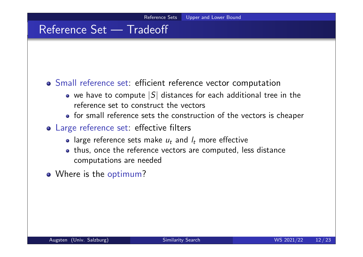## Reference Set — Tradeoff

#### Small reference set: efficient reference vector computation

- we have to compute  $|S|$  distances for each additional tree in the reference set to construct the vectors
- o for small reference sets the construction of the vectors is cheaper
- Large reference set: effective filters
	- large reference sets make  $u_t$  and  $l_t$  more effective
	- thus, once the reference vectors are computed, less distance computations are needed
- Where is the optimum?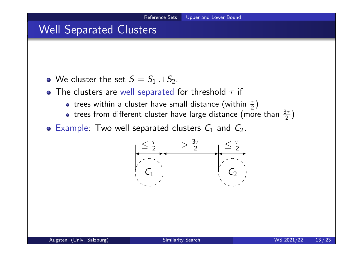## Well Separated Clusters

- We cluster the set  $S = S_1 \cup S_2$ .
- The clusters are well separated for threshold  $\tau$  if
	- trees within a cluster have small distance (within  $\frac{\tau}{2}$ )
	- trees from different cluster have large distance (more than  $\frac{3\tau}{2})$
- Example: Two well separated clusters  $C_1$  and  $C_2$ .

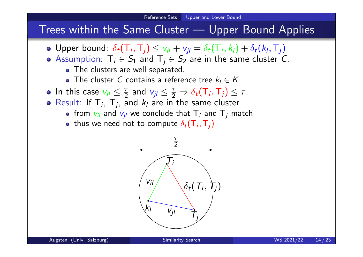### Trees within the Same Cluster — Upper Bound Applies

- Upper bound:  $\delta_t(\mathsf{T}_i, \mathsf{T}_j) \leq v_{il} + v_{jl} = \delta_t(\mathsf{T}_i, k_l) + \delta_t(k_l, \mathsf{T}_j)$
- Assumption:  $T_i \in S_1$  and  $T_j \in S_2$  are in the same cluster C.
	- The clusters are well separated.
	- The cluster C contains a reference tree  $k_1 \in K$ .
- In this case  $v_{il} \leq \frac{\pi}{2}$  $rac{\tau}{2}$  and  $v_{jl} \leq \frac{\tau}{2}$  $\frac{\tau}{2} \Rightarrow \delta_t(\mathsf{T}_i, \mathsf{T}_j) \leq \tau.$
- Result: If  $T_i$ ,  $T_j$ , and  $k_l$  are in the same cluster
	- from  $\mathsf{v}_{\mathsf{i}\mathsf{j}}$  and  $\mathsf{v}_{\mathsf{j}\mathsf{j}}$  we conclude that  $\mathsf{T}_\mathsf{i}$  and  $\mathsf{T}_\mathsf{j}$  match
	- thus we need not to compute  $\delta_t(\mathsf{T}_i,\mathsf{T}_j)$

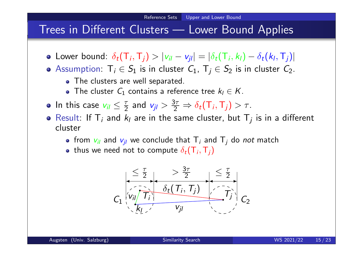### Trees in Different Clusters — Lower Bound Applies

- Lower bound:  $\delta_t(\mathsf{T}_i, \mathsf{T}_j) > |v_{il} v_{jl}| = |\delta_t(\mathsf{T}_i, k_l) \delta_t(k_l, \mathsf{T}_j)|$
- **•** Assumption:  $T_i \in S_1$  is in cluster  $C_1$ ,  $T_i \in S_2$  is in cluster  $C_2$ .
	- The clusters are well separated.
	- The cluster  $C_1$  contains a reference tree  $k_l \in K$ .
- In this case  $v_{il} \leq \frac{\tau}{2}$  $\frac{\tau}{2}$  and  $v_{jl} > \frac{3\tau}{2}$  $\frac{3\tau}{2} \Rightarrow \delta_t(\mathsf{T}_i, \mathsf{T}_j) > \tau.$
- Result: If  $T_i$  and  $k_l$  are in the same cluster, but  $T_j$  is in a different cluster
	- from  $v_{il}$  and  $v_{jl}$  we conclude that  $\mathsf{T}_i$  and  $\mathsf{T}_j$  do *not* match
	- thus we need not to compute  $\delta_t(\mathsf{T}_i,\mathsf{T}_j)$

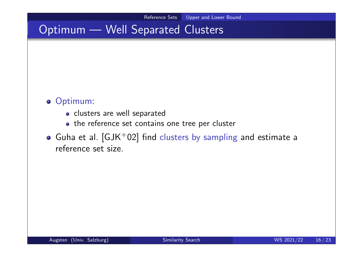# Optimum — Well Separated Clusters

#### o Optimum:

- o clusters are well separated
- the reference set contains one tree per cluster
- $\bullet$  Guha et al. [GJK+02] find clusters by sampling and estimate a reference set size.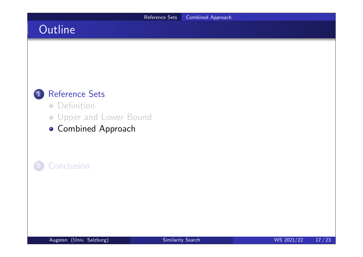

- **•** Definition
- Upper and Lower Bound
- **Combined Approach**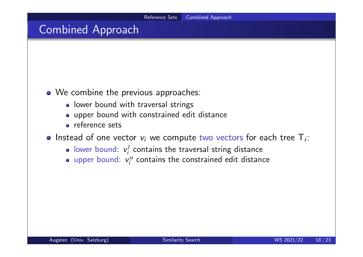## Combined Approach

- We combine the previous approaches:
	- lower bound with traversal strings
	- upper bound with constrained edit distance
	- reference sets
- Instead of one vector  $v_i$  we compute two vectors for each tree  $T_i$ :
	- lower bound:  $v_i'$  $\mathbf{g}_i'$  contains the traversal string distance
	- upper bound:  $v_i^u$  $\zeta_i^\mu$  contains the constrained edit distance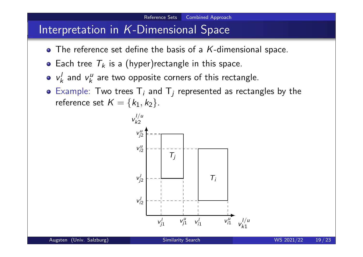## Interpretation in *K*-Dimensional Space

- $\bullet$  The reference set define the basis of a K-dimensional space.
- Each tree  $T_k$  is a (hyper) rectangle in this space.
- $V_k^{\prime}$  $\mathbf{v}_k^l$  and  $\mathbf{v}_k^u$  $\kappa_{k}^{\mu}$  are two opposite corners of this rectangle.
- Example: Two trees  $T_i$  and  $T_j$  represented as rectangles by the reference set  $K = \{k_1, k_2\}$ .

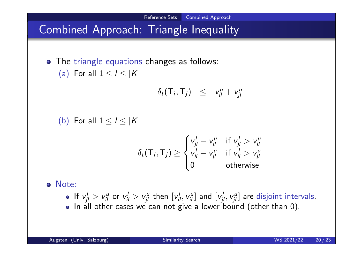# Combined Approach: Triangle Inequality

• The triangle equations changes as follows: (a) For all  $1 \leq l \leq |K|$ 

$$
\delta_t(\mathsf{T}_i,\mathsf{T}_j) \leq v_{il}^u + v_{jl}^u
$$

Reference Sets Combined Approach

(b) For all  $1 \leq l \leq |K|$ 

$$
\delta_t(\mathsf{T}_i, \mathsf{T}_j) \ge \begin{cases} v_{jl}^l - v_{il}^u & \text{if } v_{jl}^l > v_{il}^u \\ v_{il}^l - v_{jl}^u & \text{if } v_{il}^l > v_{jl}^u \\ 0 & \text{otherwise} \end{cases}
$$

Note:

If  $v'_{jl} > v''_{il}$  or  $v'_{il} > v''_{jl}$  then  $[v'_{il}, v''_{il}]$  and  $[v'_{jl}, v''_{jl}]$  are disjoint intervals. . In all other cases we can not give a lower bound (other than 0).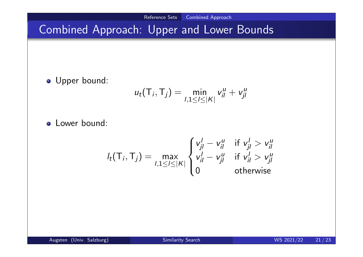Reference Sets Combined Approach

# Combined Approach: Upper and Lower Bounds

**·** Upper bound:

$$
u_t(\mathsf{T}_i,\mathsf{T}_j)=\min_{1,1\leq l\leq |\mathsf{K}|}v_{il}^u+v_{jl}^u
$$

**o** Lower bound:

$$
I_t(\mathsf{T}_i, \mathsf{T}_j) = \max_{1, 1 \leq l \leq |\mathsf{K}|} \begin{cases} v_{jl}^l - v_{il}^u & \text{if } v_{jl}^l > v_{il}^u \\ v_{il}^l - v_{jl}^u & \text{if } v_{il}^l > v_{jl}^u \\ 0 & \text{otherwise} \end{cases}
$$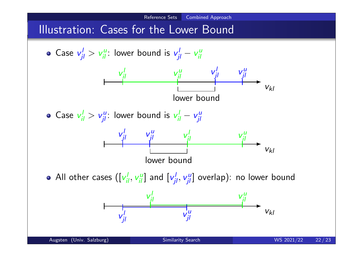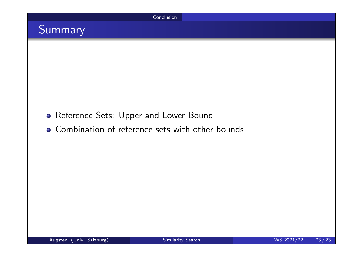

# Summary

- **Reference Sets: Upper and Lower Bound**
- Combination of reference sets with other bounds